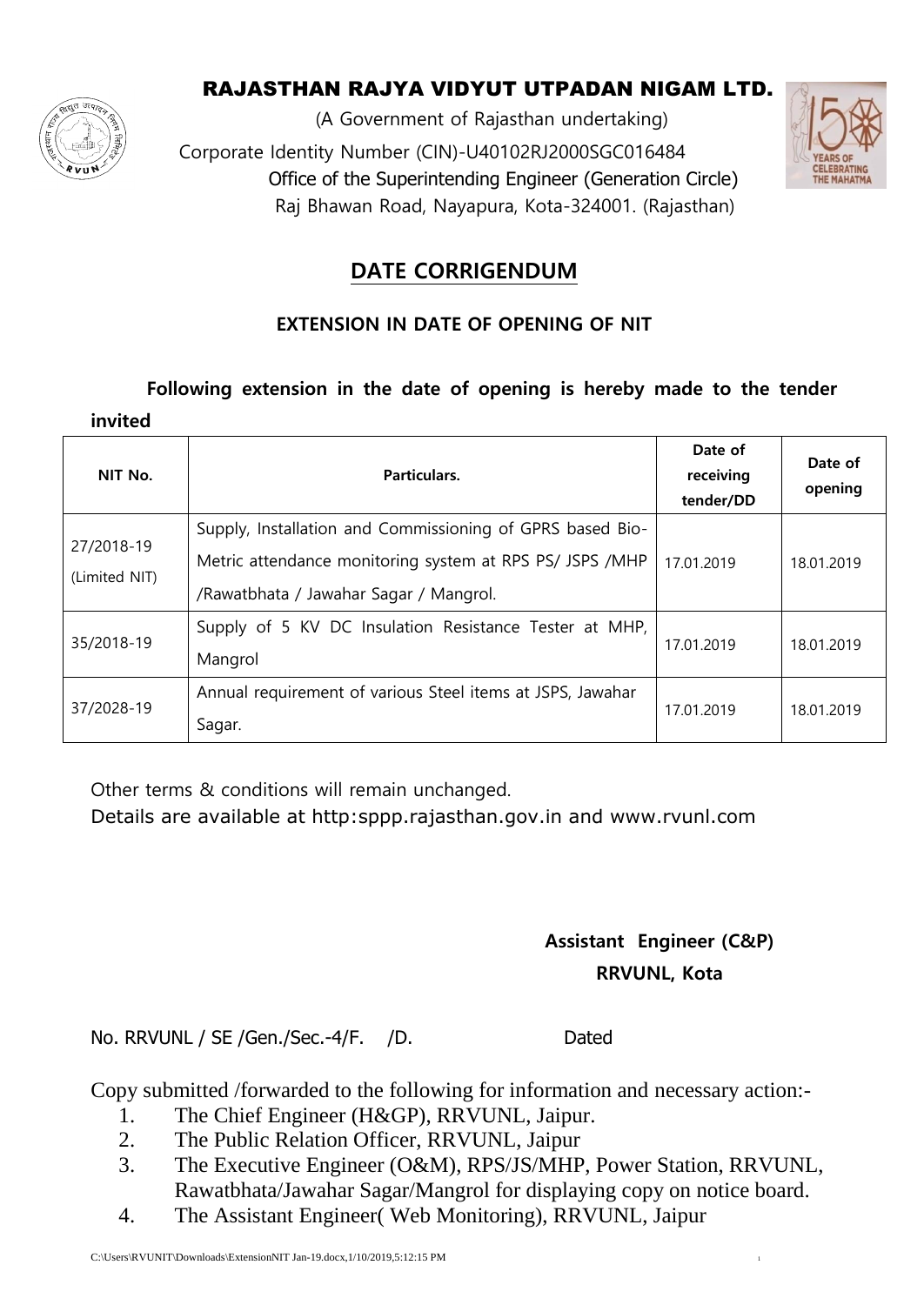

## RAJASTHAN RAJYA VIDYUT UTPADAN NIGAM LTD.

(A Government of Rajasthan undertaking) Corporate Identity Number (CIN)-U40102RJ2000SGC016484 Office of the Superintending Engineer (Generation Circle) Raj Bhawan Road, Nayapura, Kota-324001. (Rajasthan)



# **DATE CORRIGENDUM**

### **EXTENSION IN DATE OF OPENING OF NIT**

#### **Following extension in the date of opening is hereby made to the tender**

| invited                     |                                                                                                                                                                 |                                   |                    |
|-----------------------------|-----------------------------------------------------------------------------------------------------------------------------------------------------------------|-----------------------------------|--------------------|
| NIT No.                     | Particulars.                                                                                                                                                    | Date of<br>receiving<br>tender/DD | Date of<br>opening |
| 27/2018-19<br>(Limited NIT) | Supply, Installation and Commissioning of GPRS based Bio-<br>Metric attendance monitoring system at RPS PS/ JSPS /MHP<br>/Rawatbhata / Jawahar Sagar / Mangrol. | 17.01.2019                        | 18.01.2019         |
| 35/2018-19                  | Supply of 5 KV DC Insulation Resistance Tester at MHP,<br>Mangrol                                                                                               | 17.01.2019                        | 18.01.2019         |
| 37/2028-19                  | Annual requirement of various Steel items at JSPS, Jawahar<br>Sagar.                                                                                            | 17.01.2019                        | 18.01.2019         |

Other terms & conditions will remain unchanged.

Details are available at http:sppp.rajasthan.gov.in and www.rvunl.com

# **Assistant Engineer (C&P) RRVUNL, Kota**

No. RRVUNL / SE / Gen. / Sec. - 4/ F. / D. Dated

Copy submitted /forwarded to the following for information and necessary action:-

- 1. The Chief Engineer (H&GP), RRVUNL, Jaipur.
- 2. The Public Relation Officer, RRVUNL, Jaipur
- 3. The Executive Engineer (O&M), RPS/JS/MHP, Power Station, RRVUNL, Rawatbhata/Jawahar Sagar/Mangrol for displaying copy on notice board.
- 4. The Assistant Engineer( Web Monitoring), RRVUNL, Jaipur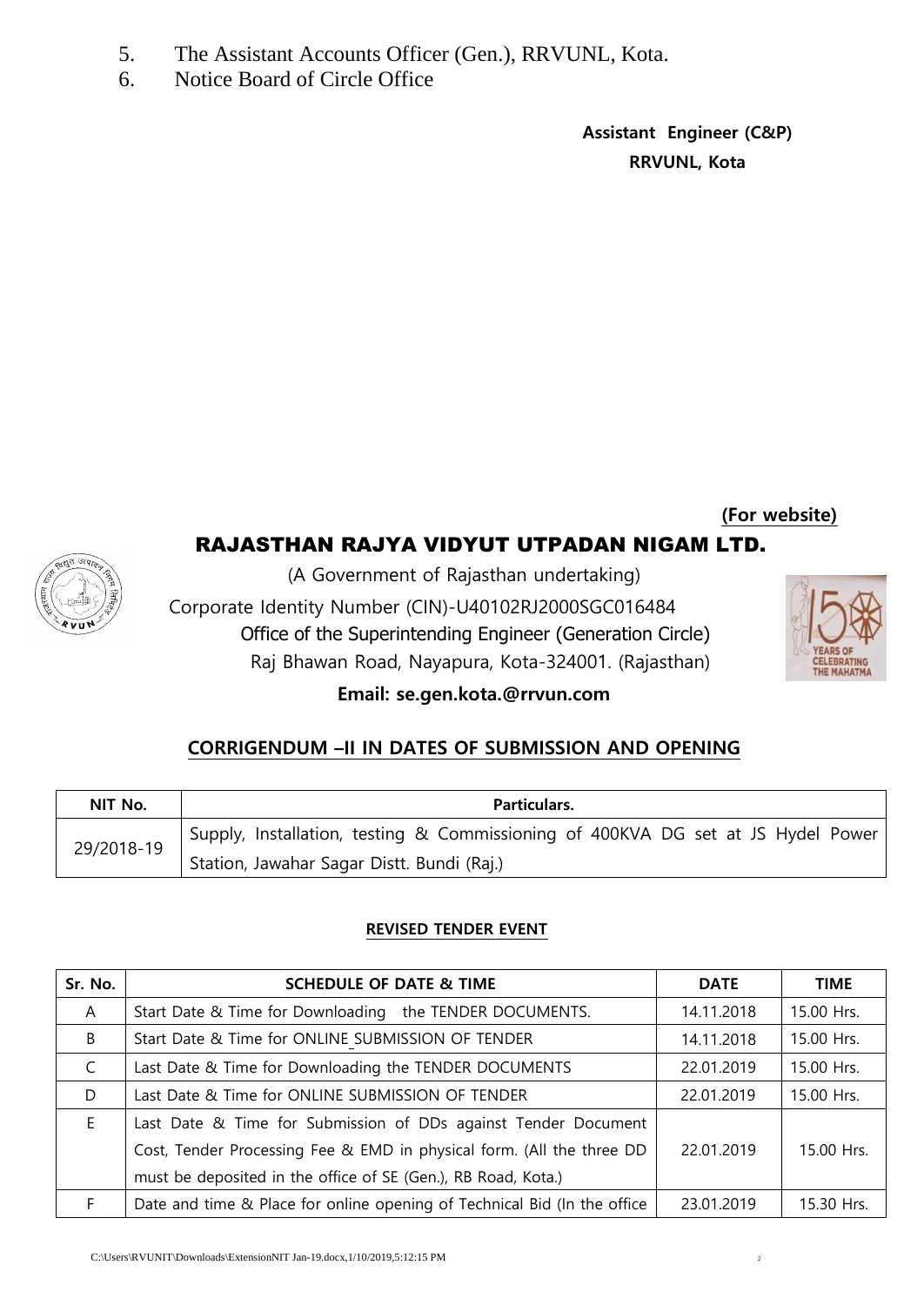- 5. The Assistant Accounts Officer (Gen.), RRVUNL, Kota.
- 6. Notice Board of Circle Office

**Assistant Engineer (C&P) RRVUNL, Kota**

**(For website)** RAJASTHAN RAJYA VIDYUT UTPADAN NIGAM LTD.



(A Government of Rajasthan undertaking) Corporate Identity Number (CIN)-U40102RJ2000SGC016484 Office of the Superintending Engineer (Generation Circle) Raj Bhawan Road, Nayapura, Kota-324001. (Rajasthan)



### **Email: se.gen.kota.@rrvun.com**

### **CORRIGENDUM –II IN DATES OF SUBMISSION AND OPENING**

| NIT No.    | Particulars.                                                                     |  |  |  |  |  |
|------------|----------------------------------------------------------------------------------|--|--|--|--|--|
| 29/2018-19 | Supply, Installation, testing & Commissioning of 400KVA DG set at JS Hydel Power |  |  |  |  |  |
|            | Station, Jawahar Sagar Distt. Bundi (Raj.)                                       |  |  |  |  |  |

#### **REVISED TENDER EVENT**

| Sr. No.   | <b>SCHEDULE OF DATE &amp; TIME</b>                                       | <b>DATE</b> | <b>TIME</b> |
|-----------|--------------------------------------------------------------------------|-------------|-------------|
| A         | Start Date & Time for Downloading the TENDER DOCUMENTS.                  | 14.11.2018  | 15.00 Hrs.  |
| B         | Start Date & Time for ONLINE SUBMISSION OF TENDER                        | 14.11.2018  | 15.00 Hrs.  |
| $\subset$ | Last Date & Time for Downloading the TENDER DOCUMENTS                    | 22.01.2019  | 15.00 Hrs.  |
| D         | Last Date & Time for ONLINE SUBMISSION OF TENDER                         | 22.01.2019  | 15.00 Hrs.  |
| E.        | Last Date & Time for Submission of DDs against Tender Document           |             |             |
|           | Cost, Tender Processing Fee & EMD in physical form. (All the three DD    | 22.01.2019  | 15.00 Hrs.  |
|           | must be deposited in the office of SE (Gen.), RB Road, Kota.)            |             |             |
| F.        | Date and time & Place for online opening of Technical Bid (In the office | 23.01.2019  | 15.30 Hrs.  |